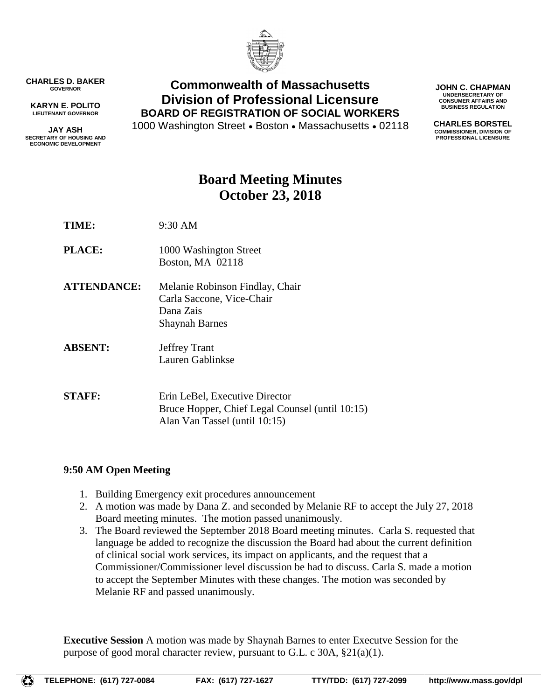

**CHARLES D. BAKER GOVERNOR**

**KARYN E. POLITO LIEUTENANT GOVERNOR**

**JAY ASH SECRETARY OF HOUSING AND ECONOMIC DEVELOPMENT**

## **Commonwealth of Massachusetts Division of Professional Licensure BOARD OF REGISTRATION OF SOCIAL WORKERS**

1000 Washington Street . Boston . Massachusetts . 02118

**JOHN C. CHAPMAN UNDERSECRETARY OF CONSUMER AFFAIRS AND BUSINESS REGULATION**

**CHARLES BORSTEL COMMISSIONER, DIVISION OF PROFESSIONAL LICENSURE**

# **Board Meeting Minutes October 23, 2018**

- **TIME:** 9:30 AM
- **PLACE:** 1000 Washington Street Boston, MA 02118
- **ATTENDANCE:** Melanie Robinson Findlay, Chair Carla Saccone, Vice-Chair Dana Zais Shaynah Barnes
- **ABSENT:** Jeffrey Trant Lauren Gablinkse

**STAFF:** Erin LeBel, Executive Director Bruce Hopper, Chief Legal Counsel (until 10:15) Alan Van Tassel (until 10:15)

### **9:50 AM Open Meeting**

- 1. Building Emergency exit procedures announcement
- 2. A motion was made by Dana Z. and seconded by Melanie RF to accept the July 27, 2018 Board meeting minutes. The motion passed unanimously.
- 3. The Board reviewed the September 2018 Board meeting minutes. Carla S. requested that language be added to recognize the discussion the Board had about the current definition of clinical social work services, its impact on applicants, and the request that a Commissioner/Commissioner level discussion be had to discuss. Carla S. made a motion to accept the September Minutes with these changes. The motion was seconded by Melanie RF and passed unanimously.

**Executive Session** A motion was made by Shaynah Barnes to enter Executve Session for the purpose of good moral character review, pursuant to G.L. c 30A, §21(a)(1).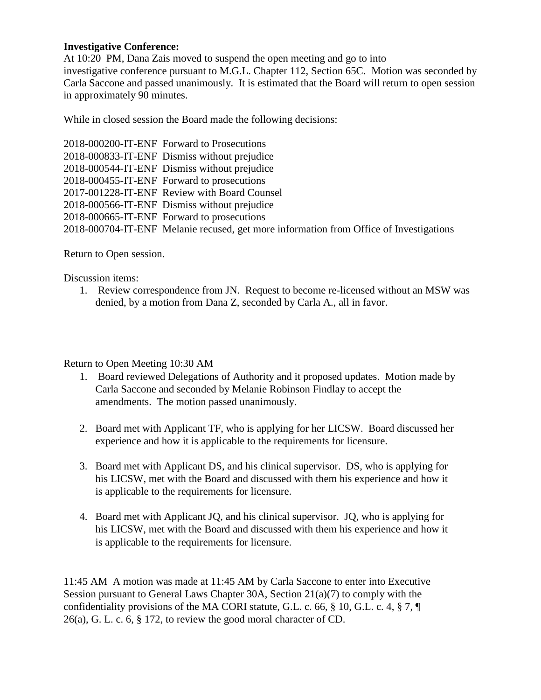#### **Investigative Conference:**

At 10:20 PM, Dana Zais moved to suspend the open meeting and go to into investigative conference pursuant to M.G.L. Chapter 112, Section 65C. Motion was seconded by Carla Saccone and passed unanimously. It is estimated that the Board will return to open session in approximately 90 minutes.

While in closed session the Board made the following decisions:

| 2018-000200-IT-ENF Forward to Prosecutions                                             |
|----------------------------------------------------------------------------------------|
| 2018-000833-IT-ENF Dismiss without prejudice                                           |
| 2018-000544-IT-ENF Dismiss without prejudice                                           |
| 2018-000455-IT-ENF Forward to prosecutions                                             |
| 2017-001228-IT-ENF Review with Board Counsel                                           |
| 2018-000566-IT-ENF Dismiss without prejudice                                           |
| 2018-000665-IT-ENF Forward to prosecutions                                             |
| 2018-000704-IT-ENF Melanie recused, get more information from Office of Investigations |

Return to Open session.

Discussion items:

1. Review correspondence from JN. Request to become re-licensed without an MSW was denied, by a motion from Dana Z, seconded by Carla A., all in favor.

Return to Open Meeting 10:30 AM

- 1. Board reviewed Delegations of Authority and it proposed updates. Motion made by Carla Saccone and seconded by Melanie Robinson Findlay to accept the amendments. The motion passed unanimously.
- 2. Board met with Applicant TF, who is applying for her LICSW. Board discussed her experience and how it is applicable to the requirements for licensure.
- 3. Board met with Applicant DS, and his clinical supervisor. DS, who is applying for his LICSW, met with the Board and discussed with them his experience and how it is applicable to the requirements for licensure.
- 4. Board met with Applicant JQ, and his clinical supervisor. JQ, who is applying for his LICSW, met with the Board and discussed with them his experience and how it is applicable to the requirements for licensure.

11:45 AM A motion was made at 11:45 AM by Carla Saccone to enter into Executive Session pursuant to General Laws Chapter 30A, Section 21(a)(7) to comply with the confidentiality provisions of the MA CORI statute, G.L. c. 66, § 10, G.L. c. 4, § 7, ¶ 26(a), G. L. c. 6, § 172, to review the good moral character of CD.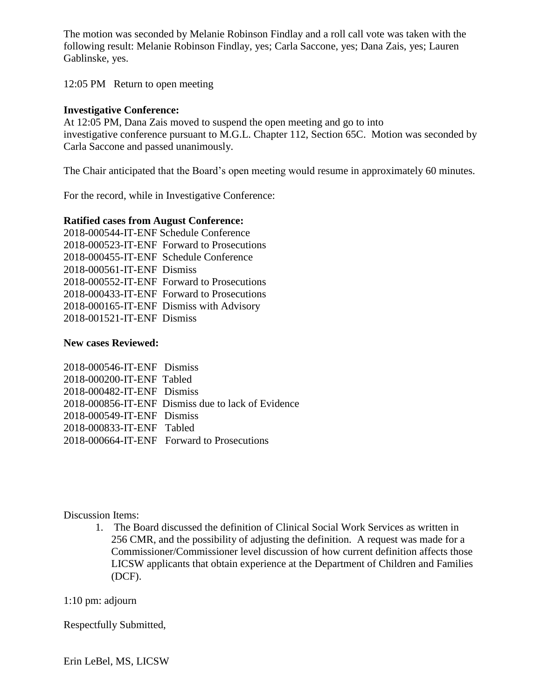The motion was seconded by Melanie Robinson Findlay and a roll call vote was taken with the following result: Melanie Robinson Findlay, yes; Carla Saccone, yes; Dana Zais, yes; Lauren Gablinske, yes.

12:05 PM Return to open meeting

#### **Investigative Conference:**

At 12:05 PM, Dana Zais moved to suspend the open meeting and go to into investigative conference pursuant to M.G.L. Chapter 112, Section 65C. Motion was seconded by Carla Saccone and passed unanimously.

The Chair anticipated that the Board's open meeting would resume in approximately 60 minutes.

For the record, while in Investigative Conference:

#### **Ratified cases from August Conference:**

2018-000544-IT-ENF Schedule Conference 2018-000523-IT-ENF Forward to Prosecutions 2018-000455-IT-ENF Schedule Conference 2018-000561-IT-ENF Dismiss 2018-000552-IT-ENF Forward to Prosecutions 2018-000433-IT-ENF Forward to Prosecutions 2018-000165-IT-ENF Dismiss with Advisory 2018-001521-IT-ENF Dismiss

#### **New cases Reviewed:**

2018-000546-IT-ENF Dismiss 2018-000200-IT-ENF Tabled 2018-000482-IT-ENF Dismiss 2018-000856-IT-ENF Dismiss due to lack of Evidence 2018-000549-IT-ENF Dismiss 2018-000833-IT-ENF Tabled 2018-000664-IT-ENF Forward to Prosecutions

Discussion Items:

1. The Board discussed the definition of Clinical Social Work Services as written in 256 CMR, and the possibility of adjusting the definition. A request was made for a Commissioner/Commissioner level discussion of how current definition affects those LICSW applicants that obtain experience at the Department of Children and Families (DCF).

#### 1:10 pm: adjourn

Respectfully Submitted,